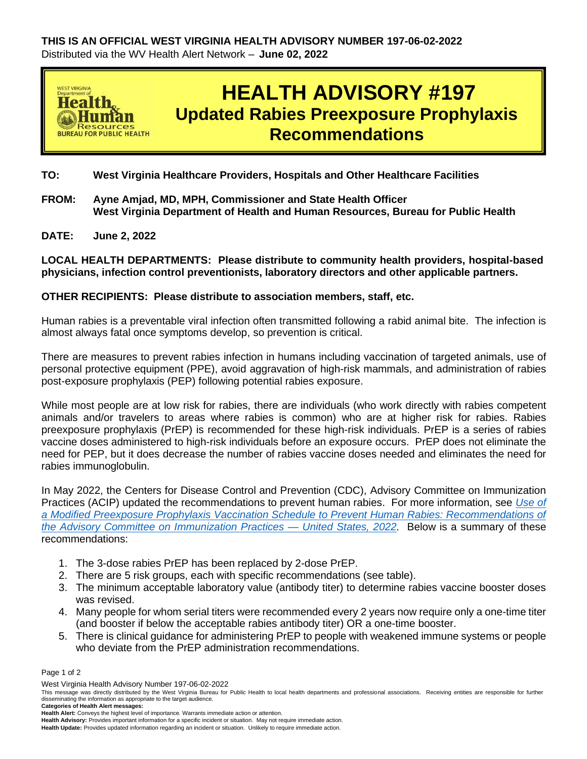

**TO: West Virginia Healthcare Providers, Hospitals and Other Healthcare Facilities** 

- **FROM: Ayne Amjad, MD, MPH, Commissioner and State Health Officer West Virginia Department of Health and Human Resources, Bureau for Public Health**
- **DATE: June 2, 2022**

**LOCAL HEALTH DEPARTMENTS: Please distribute to community health providers, hospital-based physicians, infection control preventionists, laboratory directors and other applicable partners.**

## **OTHER RECIPIENTS: Please distribute to association members, staff, etc.**

Human rabies is a preventable viral infection often transmitted following a rabid animal bite. The infection is almost always fatal once symptoms develop, so prevention is critical.

There are measures to prevent rabies infection in humans including vaccination of targeted animals, use of personal protective equipment (PPE), avoid aggravation of high-risk mammals, and administration of rabies post-exposure prophylaxis (PEP) following potential rabies exposure.

While most people are at low risk for rabies, there are individuals (who work directly with rabies competent animals and/or travelers to areas where rabies is common) who are at higher risk for rabies. Rabies preexposure prophylaxis (PrEP) is recommended for these high-risk individuals. PrEP is a series of rabies vaccine doses administered to high-risk individuals before an exposure occurs. PrEP does not eliminate the need for PEP, but it does decrease the number of rabies vaccine doses needed and eliminates the need for rabies immunoglobulin.

In May 2022, the Centers for Disease Control and Prevention (CDC), Advisory Committee on Immunization Practices (ACIP) updated the recommendations to prevent human rabies. For more information, see *[Use of](https://www.cdc.gov/mmwr/volumes/71/wr/mm7118a2.htm?s_cid=mm7118a2_e&ACSTrackingID=USCDC_921-DM81353&ACSTrackingLabel=This%20Week%20in%20MMWR%20-%20Vol.%2071%2C%20May%206%2C%202022&deliveryName=USCDC_921-DM81353)  [a Modified Preexposure Prophylaxis Vaccination Schedule to Prevent Human Rabies: Recommendations of](https://www.cdc.gov/mmwr/volumes/71/wr/mm7118a2.htm?s_cid=mm7118a2_e&ACSTrackingID=USCDC_921-DM81353&ACSTrackingLabel=This%20Week%20in%20MMWR%20-%20Vol.%2071%2C%20May%206%2C%202022&deliveryName=USCDC_921-DM81353)  [the Advisory Committee on Immunization Practices —](https://www.cdc.gov/mmwr/volumes/71/wr/mm7118a2.htm?s_cid=mm7118a2_e&ACSTrackingID=USCDC_921-DM81353&ACSTrackingLabel=This%20Week%20in%20MMWR%20-%20Vol.%2071%2C%20May%206%2C%202022&deliveryName=USCDC_921-DM81353) United States, 2022.* Below is a summary of these recommendations:

- 1. The 3-dose rabies PrEP has been replaced by 2-dose PrEP.
- 2. There are 5 risk groups, each with specific recommendations (see table).
- 3. The minimum acceptable laboratory value (antibody titer) to determine rabies vaccine booster doses was revised.
- 4. Many people for whom serial titers were recommended every 2 years now require only a one-time titer (and booster if below the acceptable rabies antibody titer) OR a one-time booster.
- 5. There is clinical guidance for administering PrEP to people with weakened immune systems or people who deviate from the PrEP administration recommendations.

Page 1 of 2

**Health Update:** Provides updated information regarding an incident or situation. Unlikely to require immediate action.

West Virginia Health Advisory Number 197-06-02-2022

This message was directly distributed by the West Virginia Bureau for Public Health to local health departments and professional associations. Receiving entities are responsible for further disseminating the information as appropriate to the target audience. **Categories of Health Alert messages:** 

**Health Alert:** Conveys the highest level of importance. Warrants immediate action or attention.

**Health Advisory:** Provides important information for a specific incident or situation. May not require immediate action.